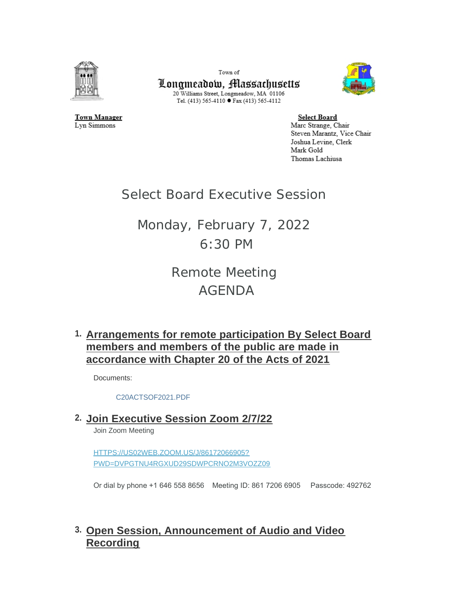

Town of Longmeadow, Massachusetts 20 Williams Street, Longmeadow, MA 01106 Tel. (413) 565-4110 ● Fax (413) 565-4112



**Town Manager** Lyn Simmons

**Select Board** Marc Strange, Chair Steven Marantz, Vice Chair Joshua Levine, Clerk Mark Gold Thomas Lachiusa

## Select Board Executive Session

Monday, February 7, 2022 6:30 PM

> Remote Meeting AGENDA

**Arrangements for remote participation By Select Board 1. members and members of the public are made in accordance with Chapter 20 of the Acts of 2021**

Documents:

[C20ACTSOF2021.PDF](https://www.longmeadow.org/AgendaCenter/ViewFile/Item/2089?fileID=21385)

**Join Executive Session Zoom 2/7/22 2.**

Join Zoom Meeting

HTTPS://US02WEB.ZOOM.US/J/86172066905? [PWD=DVPGTNU4RGXUD29SDWPCRNO2M3VOZZ09](https://us02web.zoom.us/j/86172066905?pwd=dVpGTnU4RGxud29sdWpCRno2M3VOZz09)

Or dial by phone +1 646 558 8656 Meeting ID: 861 7206 6905 Passcode: 492762

## **Open Session, Announcement of Audio and Video 3. Recording**